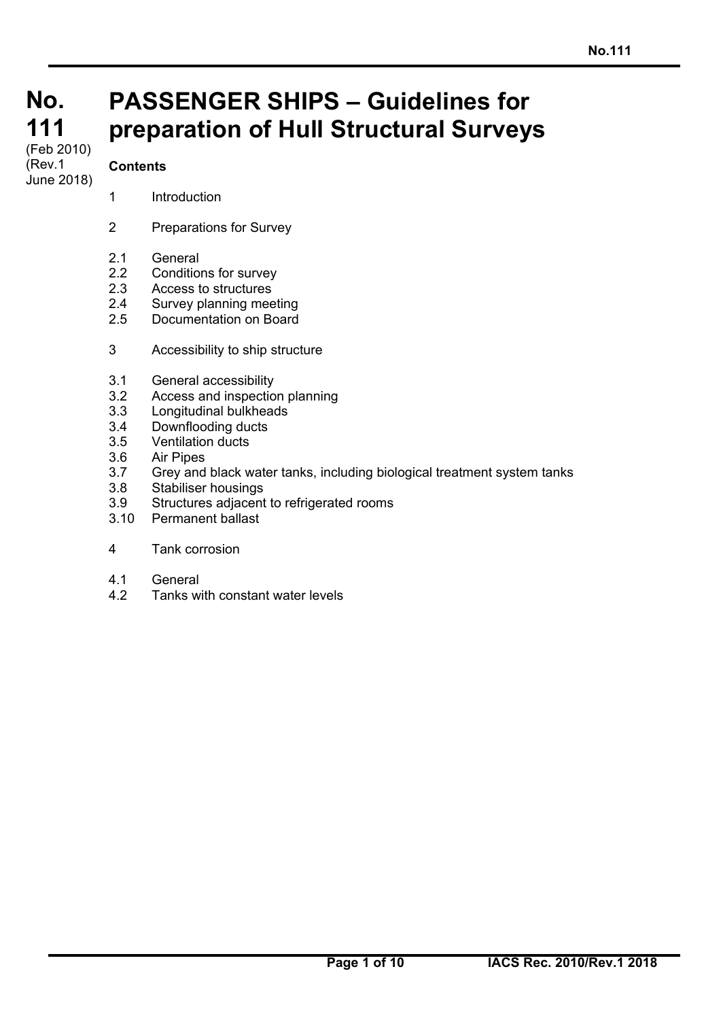# **No. No. 111 111**

#### (Feb 2010)<br>(**D** (Rev.1 June 2018)

# **Contents**

- 1 Introduction
- 2 Preparations for Survey
- 2.1 General
- 2.2 Conditions for survey
- 2.3 Access to structures
- 2.4 Survey planning meeting
- 2.5 Documentation on Board
- 3 Accessibility to ship structure
- 3.1 General accessibility
- 3.2 Access and inspection planning
- 3.3 Longitudinal bulkheads
- 3.4 Downflooding ducts
- 3.5 Ventilation ducts
- 3.6 Air Pipes
- 3.7 Grey and black water tanks, including biological treatment system tanks

**PASSENGER SHIPS – Guidelines for** 

**preparation of Hull Structural Surveys** 

- 3.8 Stabiliser housings
- 3.9 Structures adjacent to refrigerated rooms
- 3.10 Permanent ballast
- 4 Tank corrosion
- 4.1 General

 $\overline{a}$ 

4.2 Tanks with constant water levels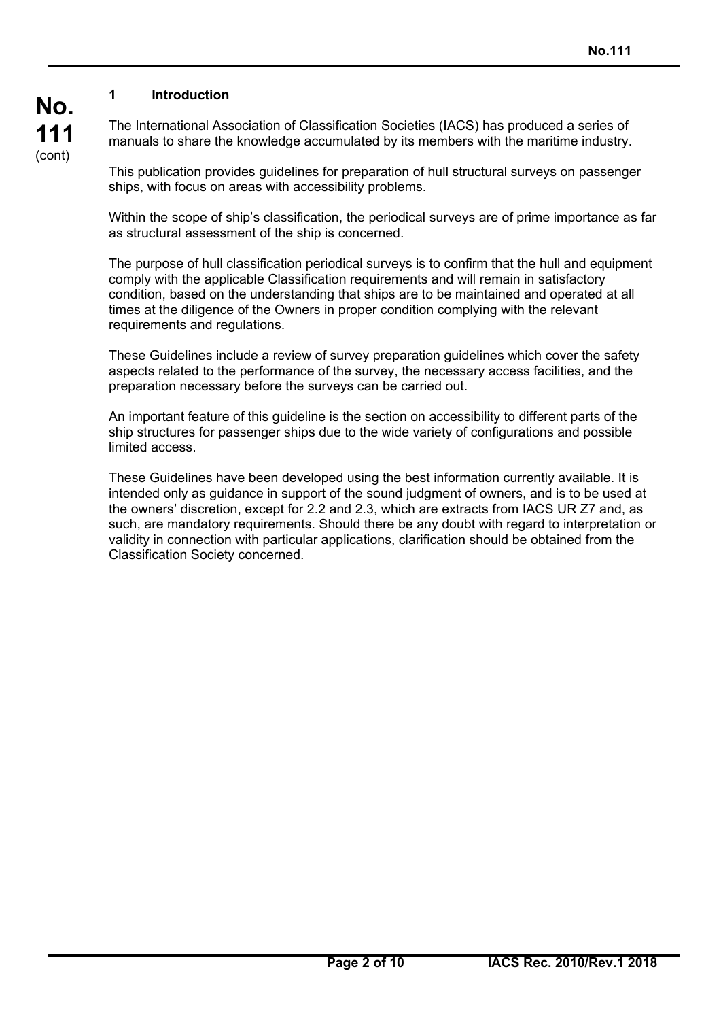# **1 Introduction**

**No.**

**111**  (cont)

 $\overline{a}$ 

The International Association of Classification Societies (IACS) has produced a series of manuals to share the knowledge accumulated by its members with the maritime industry.

This publication provides guidelines for preparation of hull structural surveys on passenger ships, with focus on areas with accessibility problems.

Within the scope of ship's classification, the periodical surveys are of prime importance as far as structural assessment of the ship is concerned.

The purpose of hull classification periodical surveys is to confirm that the hull and equipment comply with the applicable Classification requirements and will remain in satisfactory condition, based on the understanding that ships are to be maintained and operated at all times at the diligence of the Owners in proper condition complying with the relevant requirements and regulations.

These Guidelines include a review of survey preparation guidelines which cover the safety aspects related to the performance of the survey, the necessary access facilities, and the preparation necessary before the surveys can be carried out.

An important feature of this guideline is the section on accessibility to different parts of the ship structures for passenger ships due to the wide variety of configurations and possible limited access.

These Guidelines have been developed using the best information currently available. It is intended only as guidance in support of the sound judgment of owners, and is to be used at the owners' discretion, except for 2.2 and 2.3, which are extracts from IACS UR Z7 and, as such, are mandatory requirements. Should there be any doubt with regard to interpretation or validity in connection with particular applications, clarification should be obtained from the Classification Society concerned.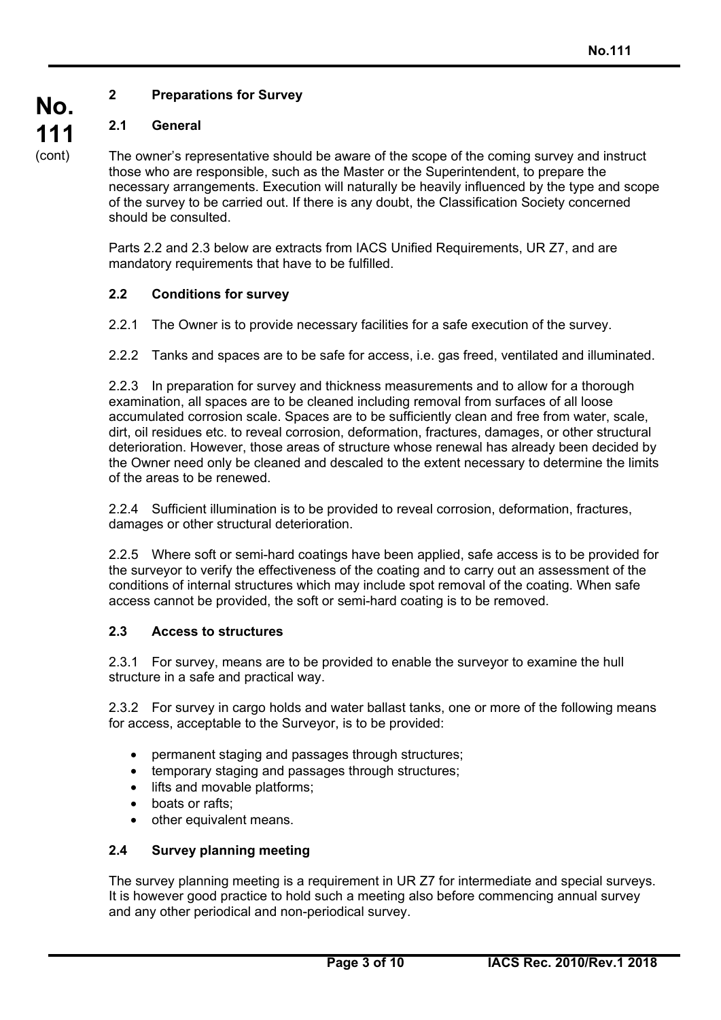# **2 Preparations for Survey**

# **2.1 General**

The owner's representative should be aware of the scope of the coming survey and instruct those who are responsible, such as the Master or the Superintendent, to prepare the necessary arrangements. Execution will naturally be heavily influenced by the type and scope of the survey to be carried out. If there is any doubt, the Classification Society concerned should be consulted.

Parts 2.2 and 2.3 below are extracts from IACS Unified Requirements, UR Z7, and are mandatory requirements that have to be fulfilled.

#### **2.2 Conditions for survey**

2.2.1 The Owner is to provide necessary facilities for a safe execution of the survey.

2.2.2 Tanks and spaces are to be safe for access, i.e. gas freed, ventilated and illuminated.

2.2.3 In preparation for survey and thickness measurements and to allow for a thorough examination, all spaces are to be cleaned including removal from surfaces of all loose accumulated corrosion scale. Spaces are to be sufficiently clean and free from water, scale, dirt, oil residues etc. to reveal corrosion, deformation, fractures, damages, or other structural deterioration. However, those areas of structure whose renewal has already been decided by the Owner need only be cleaned and descaled to the extent necessary to determine the limits of the areas to be renewed.

2.2.4 Sufficient illumination is to be provided to reveal corrosion, deformation, fractures, damages or other structural deterioration.

2.2.5 Where soft or semi-hard coatings have been applied, safe access is to be provided for the surveyor to verify the effectiveness of the coating and to carry out an assessment of the conditions of internal structures which may include spot removal of the coating. When safe access cannot be provided, the soft or semi-hard coating is to be removed.

#### **2.3 Access to structures**

2.3.1 For survey, means are to be provided to enable the surveyor to examine the hull structure in a safe and practical way.

2.3.2 For survey in cargo holds and water ballast tanks, one or more of the following means for access, acceptable to the Surveyor, is to be provided:

- permanent staging and passages through structures;
- temporary staging and passages through structures;
- lifts and movable platforms;
- boats or rafts:

 $\overline{a}$ 

other equivalent means.

#### **2.4 Survey planning meeting**

The survey planning meeting is a requirement in UR Z7 for intermediate and special surveys. It is however good practice to hold such a meeting also before commencing annual survey and any other periodical and non-periodical survey.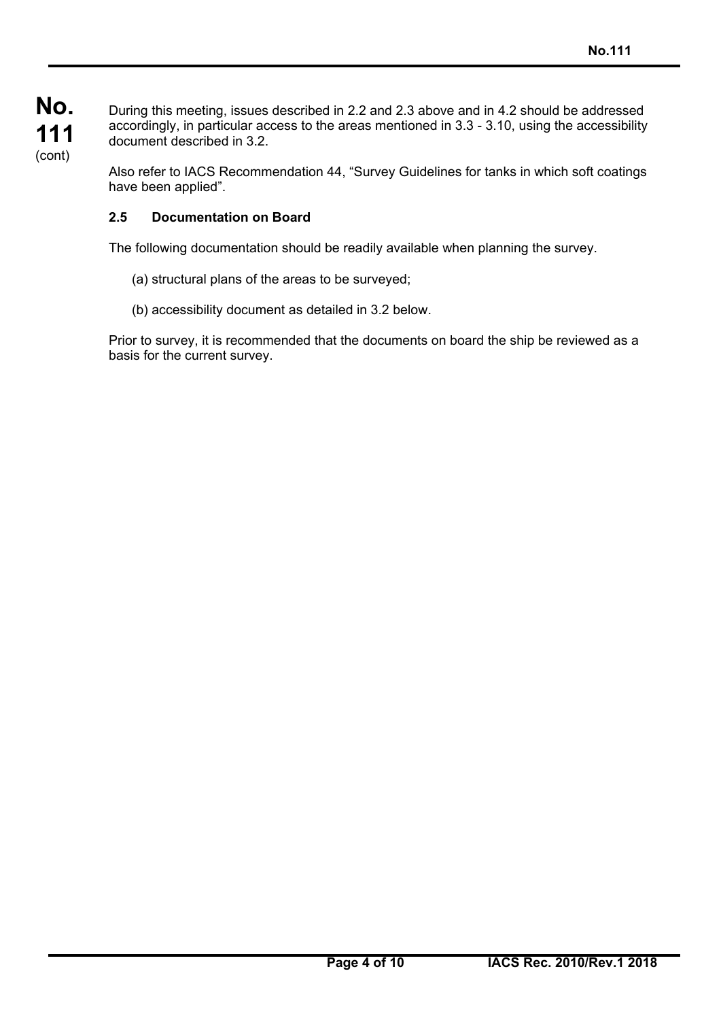$\overline{a}$ 

During this meeting, issues described in 2.2 and 2.3 above and in 4.2 should be addressed accordingly, in particular access to the areas mentioned in 3.3 - 3.10, using the accessibility document described in 3.2.

Also refer to IACS Recommendation 44, "Survey Guidelines for tanks in which soft coatings have been applied".

## **2.5 Documentation on Board**

The following documentation should be readily available when planning the survey.

- (a) structural plans of the areas to be surveyed;
- (b) accessibility document as detailed in 3.2 below.

Prior to survey, it is recommended that the documents on board the ship be reviewed as a basis for the current survey.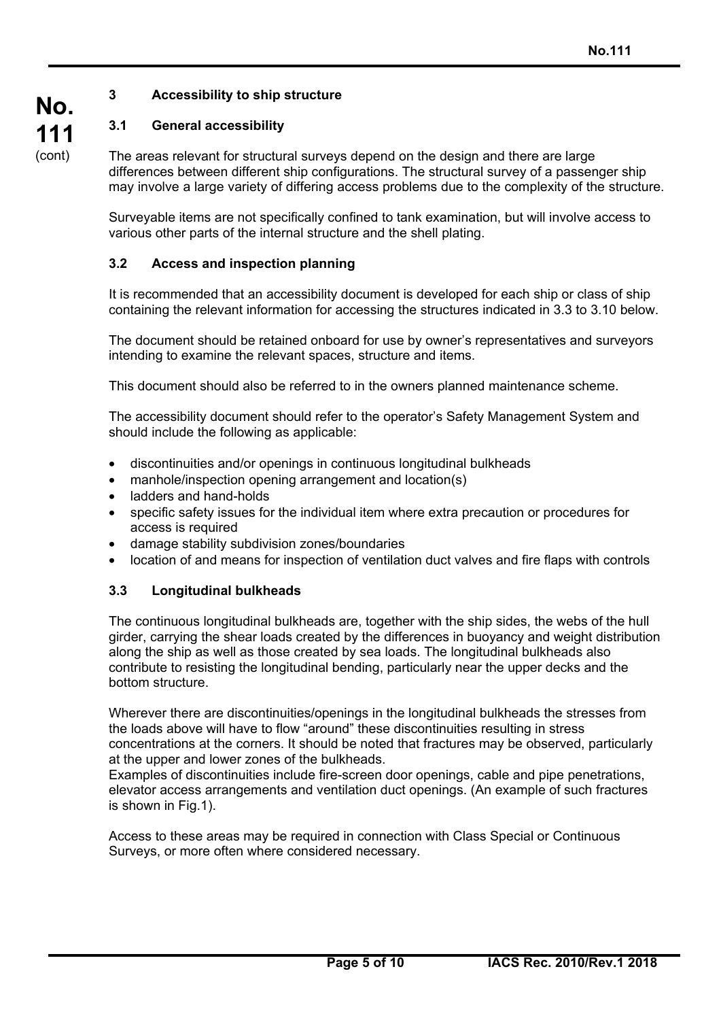## **3 Accessibility to ship structure**

## **3.1 General accessibility**

The areas relevant for structural surveys depend on the design and there are large differences between different ship configurations. The structural survey of a passenger ship may involve a large variety of differing access problems due to the complexity of the structure.

Surveyable items are not specifically confined to tank examination, but will involve access to various other parts of the internal structure and the shell plating.

## **3.2 Access and inspection planning**

It is recommended that an accessibility document is developed for each ship or class of ship containing the relevant information for accessing the structures indicated in 3.3 to 3.10 below.

The document should be retained onboard for use by owner's representatives and surveyors intending to examine the relevant spaces, structure and items.

This document should also be referred to in the owners planned maintenance scheme.

The accessibility document should refer to the operator's Safety Management System and should include the following as applicable:

- discontinuities and/or openings in continuous longitudinal bulkheads
- manhole/inspection opening arrangement and location(s)
- ladders and hand-holds
- specific safety issues for the individual item where extra precaution or procedures for access is required
- damage stability subdivision zones/boundaries
- location of and means for inspection of ventilation duct valves and fire flaps with controls

#### **3.3 Longitudinal bulkheads**

 $\overline{a}$ 

The continuous longitudinal bulkheads are, together with the ship sides, the webs of the hull girder, carrying the shear loads created by the differences in buoyancy and weight distribution along the ship as well as those created by sea loads. The longitudinal bulkheads also contribute to resisting the longitudinal bending, particularly near the upper decks and the bottom structure.

Wherever there are discontinuities/openings in the longitudinal bulkheads the stresses from the loads above will have to flow "around" these discontinuities resulting in stress concentrations at the corners. It should be noted that fractures may be observed, particularly at the upper and lower zones of the bulkheads.

Examples of discontinuities include fire-screen door openings, cable and pipe penetrations, elevator access arrangements and ventilation duct openings. (An example of such fractures is shown in Fig.1).

Access to these areas may be required in connection with Class Special or Continuous Surveys, or more often where considered necessary.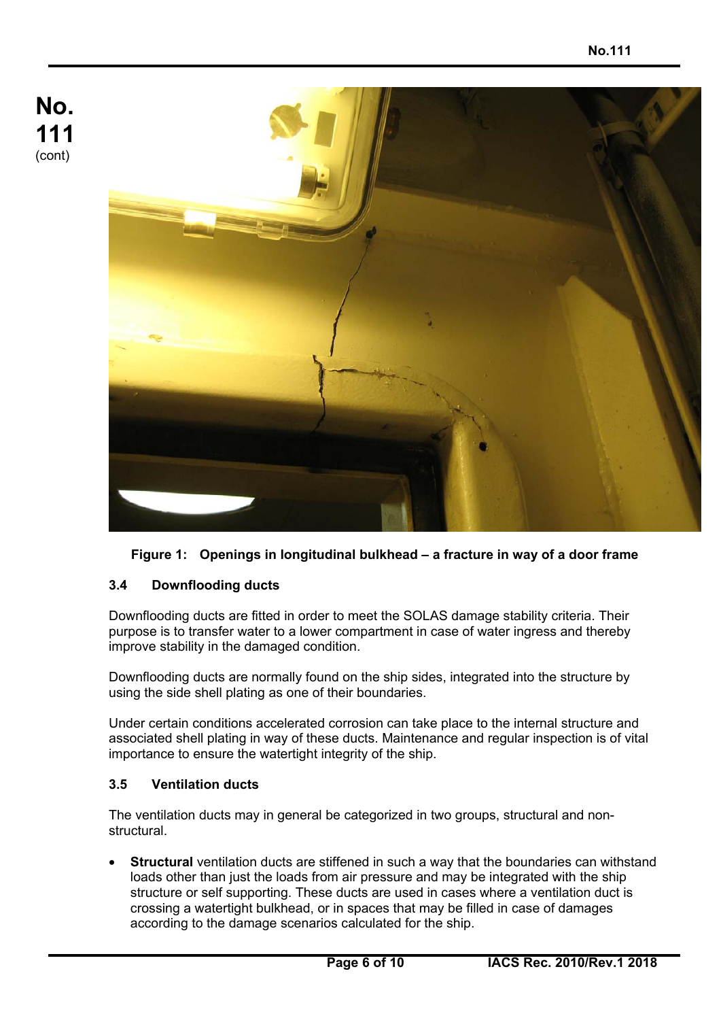

**Figure 1: Openings in longitudinal bulkhead – a fracture in way of a door frame** 

# **3.4 Downflooding ducts**

Downflooding ducts are fitted in order to meet the SOLAS damage stability criteria. Their purpose is to transfer water to a lower compartment in case of water ingress and thereby improve stability in the damaged condition.

Downflooding ducts are normally found on the ship sides, integrated into the structure by using the side shell plating as one of their boundaries.

Under certain conditions accelerated corrosion can take place to the internal structure and associated shell plating in way of these ducts. Maintenance and regular inspection is of vital importance to ensure the watertight integrity of the ship.

# **3.5 Ventilation ducts**

 $\overline{a}$ 

The ventilation ducts may in general be categorized in two groups, structural and nonstructural.

• **Structural** ventilation ducts are stiffened in such a way that the boundaries can withstand loads other than just the loads from air pressure and may be integrated with the ship structure or self supporting. These ducts are used in cases where a ventilation duct is crossing a watertight bulkhead, or in spaces that may be filled in case of damages according to the damage scenarios calculated for the ship.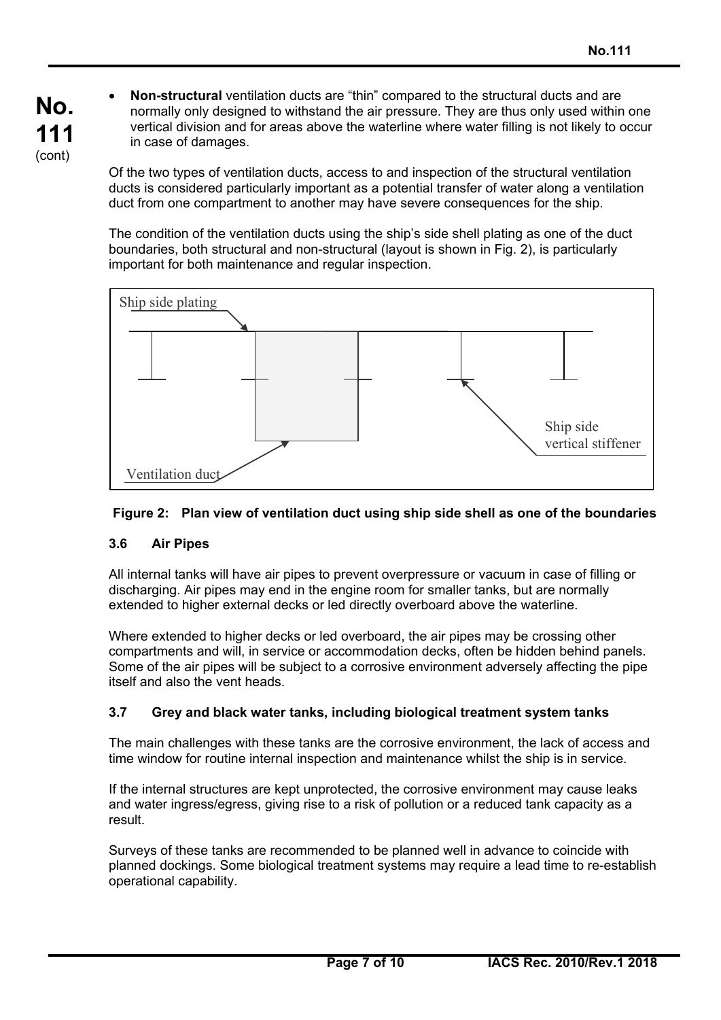• **Non-structural** ventilation ducts are "thin" compared to the structural ducts and are normally only designed to withstand the air pressure. They are thus only used within one vertical division and for areas above the waterline where water filling is not likely to occur in case of damages.

Of the two types of ventilation ducts, access to and inspection of the structural ventilation ducts is considered particularly important as a potential transfer of water along a ventilation duct from one compartment to another may have severe consequences for the ship.

The condition of the ventilation ducts using the ship's side shell plating as one of the duct boundaries, both structural and non-structural (layout is shown in Fig. 2), is particularly important for both maintenance and regular inspection.



## **Figure 2: Plan view of ventilation duct using ship side shell as one of the boundaries**

#### **3.6 Air Pipes**

 $\overline{a}$ 

All internal tanks will have air pipes to prevent overpressure or vacuum in case of filling or discharging. Air pipes may end in the engine room for smaller tanks, but are normally extended to higher external decks or led directly overboard above the waterline.

Where extended to higher decks or led overboard, the air pipes may be crossing other compartments and will, in service or accommodation decks, often be hidden behind panels. Some of the air pipes will be subject to a corrosive environment adversely affecting the pipe itself and also the vent heads.

#### **3.7 Grey and black water tanks, including biological treatment system tanks**

The main challenges with these tanks are the corrosive environment, the lack of access and time window for routine internal inspection and maintenance whilst the ship is in service.

If the internal structures are kept unprotected, the corrosive environment may cause leaks and water ingress/egress, giving rise to a risk of pollution or a reduced tank capacity as a result.

Surveys of these tanks are recommended to be planned well in advance to coincide with planned dockings. Some biological treatment systems may require a lead time to re-establish operational capability.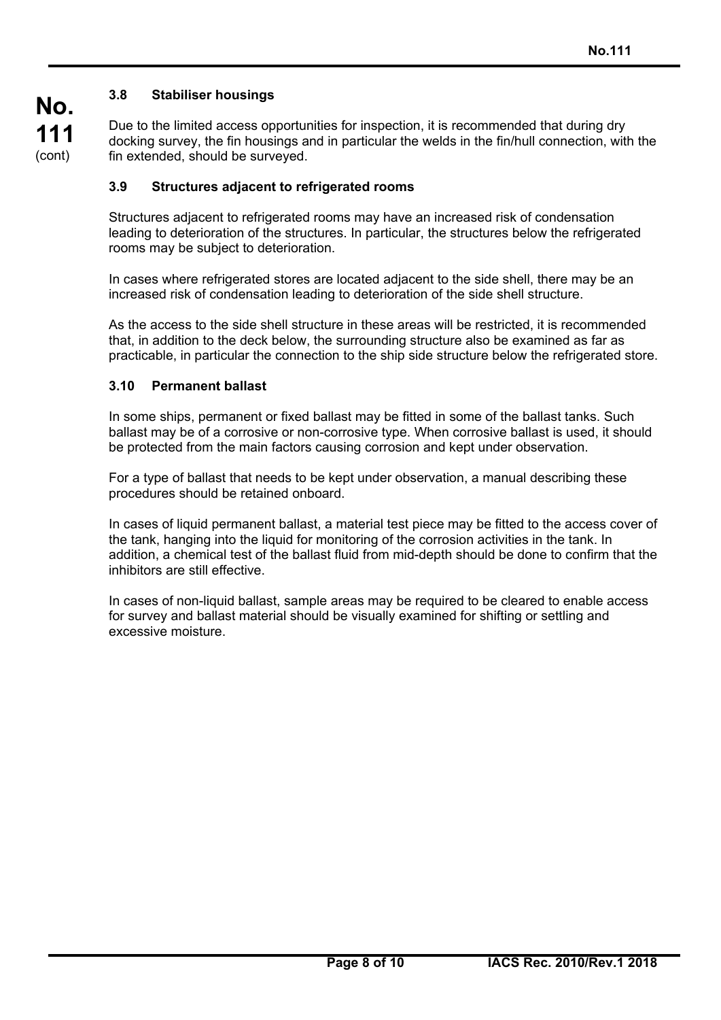# **3.8 Stabiliser housings**

**No.**

**111**  (cont)

Due to the limited access opportunities for inspection, it is recommended that during dry docking survey, the fin housings and in particular the welds in the fin/hull connection, with the fin extended, should be surveyed.

#### **3.9 Structures adjacent to refrigerated rooms**

Structures adjacent to refrigerated rooms may have an increased risk of condensation leading to deterioration of the structures. In particular, the structures below the refrigerated rooms may be subject to deterioration.

In cases where refrigerated stores are located adjacent to the side shell, there may be an increased risk of condensation leading to deterioration of the side shell structure.

As the access to the side shell structure in these areas will be restricted, it is recommended that, in addition to the deck below, the surrounding structure also be examined as far as practicable, in particular the connection to the ship side structure below the refrigerated store.

#### **3.10 Permanent ballast**

 $\overline{a}$ 

In some ships, permanent or fixed ballast may be fitted in some of the ballast tanks. Such ballast may be of a corrosive or non-corrosive type. When corrosive ballast is used, it should be protected from the main factors causing corrosion and kept under observation.

For a type of ballast that needs to be kept under observation, a manual describing these procedures should be retained onboard.

In cases of liquid permanent ballast, a material test piece may be fitted to the access cover of the tank, hanging into the liquid for monitoring of the corrosion activities in the tank. In addition, a chemical test of the ballast fluid from mid-depth should be done to confirm that the inhibitors are still effective.

In cases of non-liquid ballast, sample areas may be required to be cleared to enable access for survey and ballast material should be visually examined for shifting or settling and excessive moisture.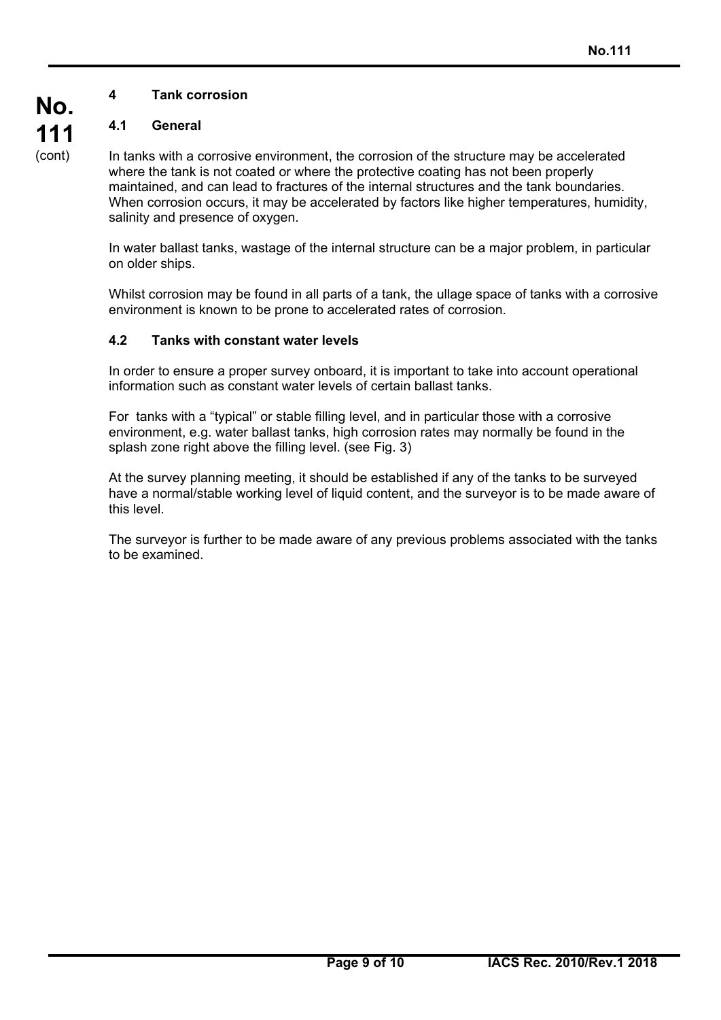# **4 Tank corrosion**

# **4.1 General**

**No.**

**111**  (cont)

 $\overline{a}$ 

In tanks with a corrosive environment, the corrosion of the structure may be accelerated where the tank is not coated or where the protective coating has not been properly maintained, and can lead to fractures of the internal structures and the tank boundaries. When corrosion occurs, it may be accelerated by factors like higher temperatures, humidity, salinity and presence of oxygen.

In water ballast tanks, wastage of the internal structure can be a major problem, in particular on older ships.

Whilst corrosion may be found in all parts of a tank, the ullage space of tanks with a corrosive environment is known to be prone to accelerated rates of corrosion.

## **4.2 Tanks with constant water levels**

In order to ensure a proper survey onboard, it is important to take into account operational information such as constant water levels of certain ballast tanks.

For tanks with a "typical" or stable filling level, and in particular those with a corrosive environment, e.g. water ballast tanks, high corrosion rates may normally be found in the splash zone right above the filling level. (see Fig. 3)

At the survey planning meeting, it should be established if any of the tanks to be surveyed have a normal/stable working level of liquid content, and the surveyor is to be made aware of this level.

The surveyor is further to be made aware of any previous problems associated with the tanks to be examined.